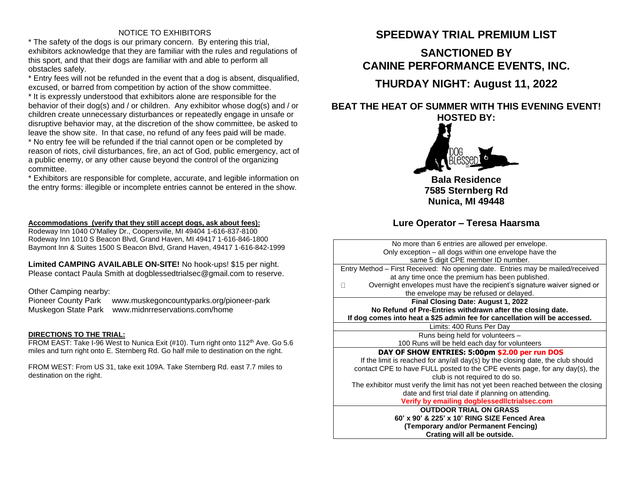### NOTICE TO EXHIBITORS

\* The safety of the dogs is our primary concern. By entering this trial, exhibitors acknowledge that they are familiar with the rules and regulations of this sport, and that their dogs are familiar with and able to perform all obstacles safely.

\* Entry fees will not be refunded in the event that a dog is absent, disqualified, excused, or barred from competition by action of the show committee.

\* It is expressly understood that exhibitors alone are responsible for the behavior of their dog(s) and / or children. Any exhibitor whose dog(s) and / or children create unnecessary disturbances or repeatedly engage in unsafe or disruptive behavior may, at the discretion of the show committee, be asked to leave the show site. In that case, no refund of any fees paid will be made.

\* No entry fee will be refunded if the trial cannot open or be completed by reason of riots, civil disturbances, fire, an act of God, public emergency, act of a public enemy, or any other cause beyond the control of the organizing committee.

\* Exhibitors are responsible for complete, accurate, and legible information on the entry forms: illegible or incomplete entries cannot be entered in the show.

## **Accommodations (verify that they still accept dogs, ask about fees):**

Rodeway Inn 1040 O'Malley Dr., Coopersville, MI 49404 1-616-837-8100 Rodeway Inn 1010 S Beacon Blvd, Grand Haven, MI 49417 1-616-846-1800 Baymont Inn & Suites 1500 S Beacon Blvd, Grand Haven, 49417 1-616-842-1999

**Limited CAMPING AVAILABLE ON-SITE!** No hook-ups! \$15 per night. Please contact Paula Smith at dogblessedtrialsec@gmail.com to reserve.

Other Camping nearby:

Pioneer County Park www.muskegoncountyparks.org/pioneer-park Muskegon State Park www.midnrreservations.com/home

## **DIRECTIONS TO THE TRIAL:**

FROM EAST: Take I-96 West to Nunica Exit (#10). Turn right onto 112<sup>th</sup> Ave. Go 5.6 miles and turn right onto E. Sternberg Rd. Go half mile to destination on the right.

FROM WEST: From US 31, take exit 109A. Take Sternberg Rd. east 7.7 miles to destination on the right.

# **SPEEDWAY TRIAL PREMIUM LIST**

## **SANCTIONED BY CANINE PERFORMANCE EVENTS, INC.**

**THURDAY NIGHT: August 11, 2022**

**BEAT THE HEAT OF SUMMER WITH THIS EVENING EVENT! HOSTED BY:** 



**Bala Residence 7585 Sternberg Rd Nunica, MI 49448**

## **Lure Operator – Teresa Haarsma**

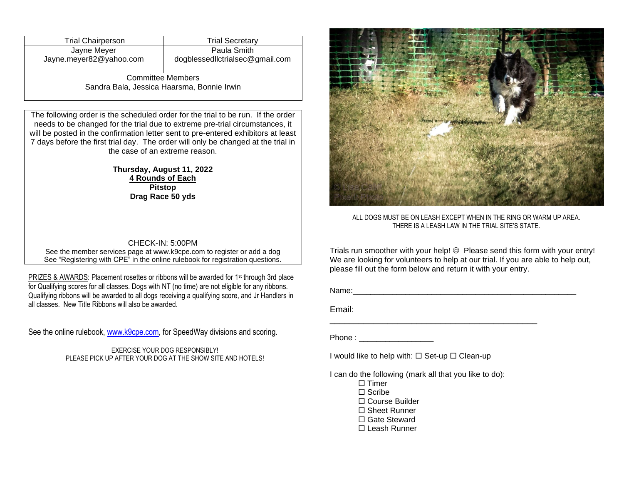| <b>Trial Chairperson</b>                   | <b>Trial Secretary</b>                        |  |  |
|--------------------------------------------|-----------------------------------------------|--|--|
| Jayne Meyer<br>Jayne.meyer82@yahoo.com     | Paula Smith<br>dogblessedlctrialsec@gmail.com |  |  |
|                                            |                                               |  |  |
| <b>Committee Members</b>                   |                                               |  |  |
| Sandra Bala, Jessica Haarsma, Bonnie Irwin |                                               |  |  |

The following order is the scheduled order for the trial to be run. If the order needs to be changed for the trial due to extreme pre-trial circumstances, it will be posted in the confirmation letter sent to pre-entered exhibitors at least 7 days before the first trial day. The order will only be changed at the trial in the case of an extreme reason.

#### **Thursday, August 11, 2022 4 Rounds of Each Pitstop Drag Race 50 yds**

#### CHECK-IN: 5:00PM

See the member services page a[t www.k9cpe.com](http://www.k9cpe.com/) to register or add a dog See "Registering with CPE" in the online rulebook for registration questions.

PRIZES & AWARDS: Placement rosettes or ribbons will be awarded for 1<sup>st</sup> through 3rd place for Qualifying scores for all classes. Dogs with NT (no time) are not eligible for any ribbons. Qualifying ribbons will be awarded to all dogs receiving a qualifying score, and Jr Handlers in all classes. New Title Ribbons will also be awarded.

See the online rulebook, [www.k9cpe.com,](http://www.k9cpe.com/) for SpeedWay divisions and scoring.

EXERCISE YOUR DOG RESPONSIBLY! PLEASE PICK UP AFTER YOUR DOG AT THE SHOW SITE AND HOTELS!



ALL DOGS MUST BE ON LEASH EXCEPT WHEN IN THE RING OR WARM UP AREA. THERE IS A LEASH LAW IN THE TRIAL SITE'S STATE.

Trials run smoother with your help! © Please send this form with your entry! We are looking for volunteers to help at our trial. If you are able to help out, please fill out the form below and return it with your entry.

Name:

Email:

Phone :

I would like to help with:  $\Box$  Set-up  $\Box$  Clean-up

I can do the following (mark all that you like to do):

\_\_\_\_\_\_\_\_\_\_\_\_\_\_\_\_\_\_\_\_\_\_\_\_\_\_\_\_\_\_\_\_\_\_\_\_\_\_\_\_\_\_\_

 $\Box$  Timer

 $\Box$  Scribe

Course Builder

- □ Sheet Runner
- □ Gate Steward
- Leash Runner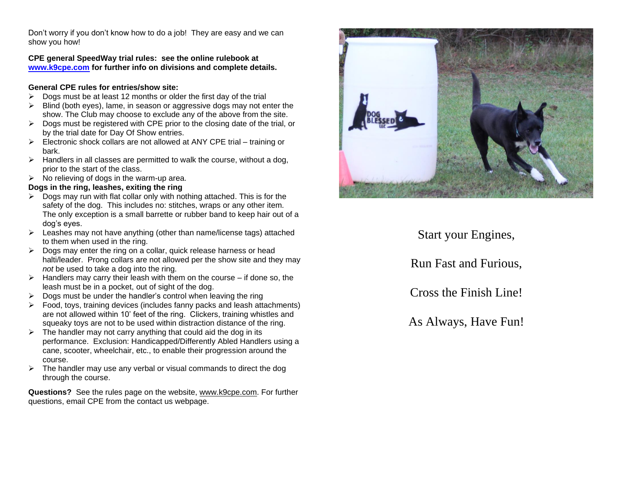Don't worry if you don't know how to do a job! They are easy and we can show you how!

**CPE general SpeedWay trial rules: see the online rulebook at [www.k9cpe.com](http://www.k9cpe.com/) for further info on divisions and complete details.**

#### **General CPE rules for entries/show site:**

- $\triangleright$  Dogs must be at least 12 months or older the first day of the trial
- ➢ Blind (both eyes), lame, in season or aggressive dogs may not enter the show. The Club may choose to exclude any of the above from the site.
- $\triangleright$  Dogs must be registered with CPE prior to the closing date of the trial, or by the trial date for Day Of Show entries.
- $\triangleright$  Electronic shock collars are not allowed at ANY CPE trial training or bark.
- $\triangleright$  Handlers in all classes are permitted to walk the course, without a dog, prior to the start of the class.
- $\triangleright$  No relieving of dogs in the warm-up area.

#### **Dogs in the ring, leashes, exiting the ring**

- $\triangleright$  Dogs may run with flat collar only with nothing attached. This is for the safety of the dog. This includes no: stitches, wraps or any other item. The only exception is a small barrette or rubber band to keep hair out of a dog's eyes.
- ➢ Leashes may not have anything (other than name/license tags) attached to them when used in the ring.
- $\triangleright$  Dogs may enter the ring on a collar, quick release harness or head halti/leader. Prong collars are not allowed per the show site and they may *not* be used to take a dog into the ring.
- $\triangleright$  Handlers may carry their leash with them on the course if done so, the leash must be in a pocket, out of sight of the dog.
- $\triangleright$  Dogs must be under the handler's control when leaving the ring
- ➢ Food, toys, training devices (includes fanny packs and leash attachments) are not allowed within 10' feet of the ring. Clickers, training whistles and squeaky toys are not to be used within distraction distance of the ring.
- $\triangleright$  The handler may not carry anything that could aid the dog in its performance. Exclusion: Handicapped/Differently Abled Handlers using a cane, scooter, wheelchair, etc., to enable their progression around the course.
- $\triangleright$  The handler may use any verbal or visual commands to direct the dog through the course.

**Questions?** See the rules page on the website, [www.k9cpe.com.](http://www.k9cpe.com/) For further questions, email CPE from the contact us webpage.



Start your Engines,

Run Fast and Furious,

Cross the Finish Line!

As Always, Have Fun!